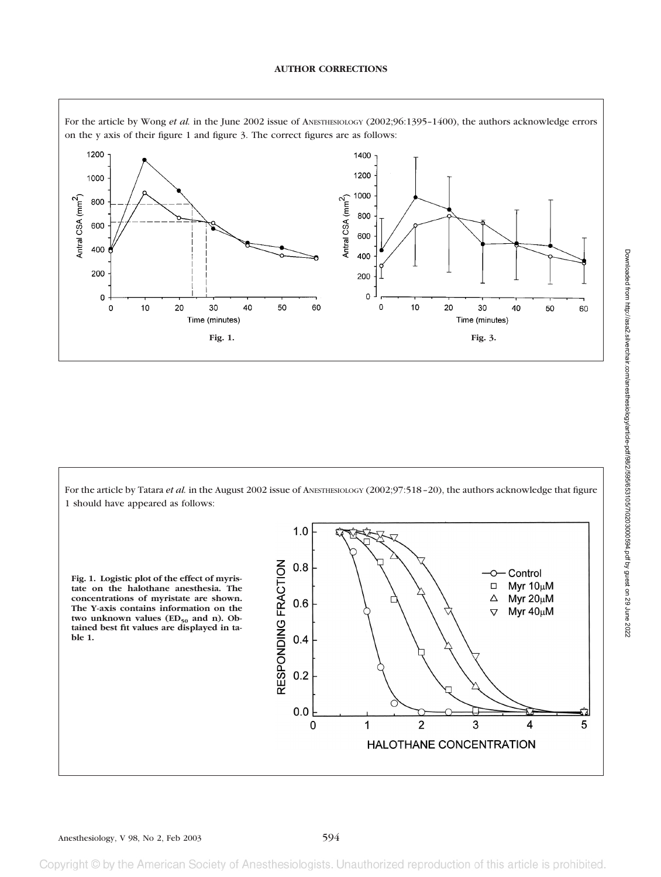## **AUTHOR CORRECTIONS**



For the article by Wong *et al.* in the June 2002 issue of ANESTHESIOLOGY (2002;96:1395-1400), the authors acknowledge errors on the y axis of their figure 1 and figure 3. The correct figures are as follows:

For the article by Tatara *et al.* in the August 2002 issue of ANESTHESIOLOGY (2002;97:518-20), the authors acknowledge that figure 1 should have appeared as follows:

**Fig. 1. Logistic plot of the effect of myristate on the halothane anesthesia. The concentrations of myristate are shown. The Y-axis contains information on the** two unknown values  $(ED_{50}$  and n). Ob**tained best fit values are displayed in table 1.**



reproduction